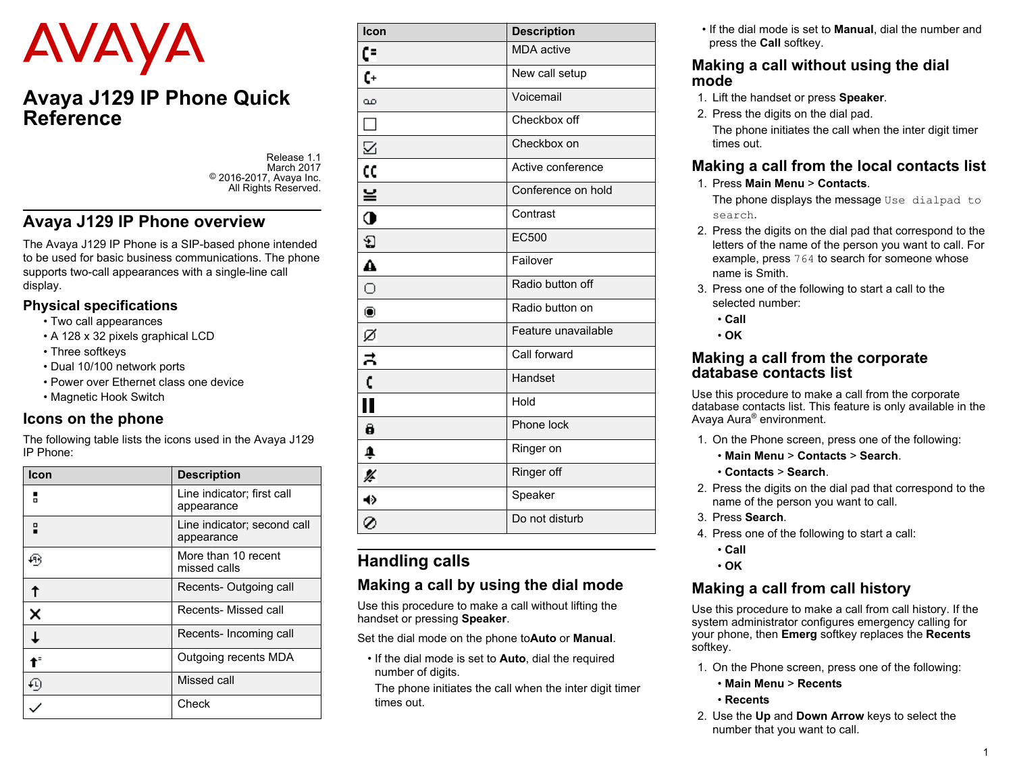# AVAYA

# **Avaya J129 IP Phone Quick Reference**

Release 1.1 March 2017 © 2016-2017, Avaya Inc. All Rights Reserved.

## **Avaya J129 IP Phone overview**

The Avaya J129 IP Phone is a SIP-based phone intended to be used for basic business communications. The phone supports two-call appearances with a single-line call display.

#### **Physical specifications**

- Two call appearances
- A 128 x 32 pixels graphical LCD
- Three softkeys
- Dual 10/100 network ports
- Power over Ethernet class one device
- Magnetic Hook Switch

#### **Icons on the phone**

The following table lists the icons used in the Avaya J129 IP Phone:

| Icon | <b>Description</b>                        |
|------|-------------------------------------------|
|      | Line indicator; first call<br>appearance  |
|      | Line indicator; second call<br>appearance |
|      | More than 10 recent<br>missed calls       |
|      | Recents-Outgoing call                     |
|      | Recents- Missed call                      |
|      | Recents- Incoming call                    |
|      | Outgoing recents MDA                      |
|      | Missed call                               |
|      | Check                                     |

| Icon                 | <b>Description</b>  |
|----------------------|---------------------|
| CF                   | <b>MDA</b> active   |
| C+                   | New call setup      |
|                      | Voicemail           |
|                      | Checkbox off        |
|                      | Checkbox on         |
| CC                   | Active conference   |
| ≚                    | Conference on hold  |
| Ò                    | Contrast            |
| Ð                    | EC500               |
|                      | Failover            |
|                      | Radio button off    |
|                      | Radio button on     |
| ø                    | Feature unavailable |
| $\frac{1}{2}$        | Call forward        |
| ċ                    | Handset             |
| $\ddot{\phantom{0}}$ | Hold                |
|                      | Phone lock          |
| ♠                    | Ringer on           |
| ¥                    | Ringer off          |
| 40                   | Speaker             |
| Ø                    | Do not disturb      |

# **Handling calls**

#### **Making a call by using the dial mode**

Use this procedure to make a call without lifting the handset or pressing **Speaker**.

Set the dial mode on the phone to**Auto** or **Manual**.

• If the dial mode is set to **Auto**, dial the required number of digits.

The phone initiates the call when the inter digit timer times out.

• If the dial mode is set to **Manual**, dial the number and press the **Call** softkey.

#### **Making a call without using the dial mode**

- 1. Lift the handset or press **Speaker**.
- 2. Press the digits on the dial pad. The phone initiates the call when the inter digit timer times out.

#### **Making a call from the local contacts list**

1. Press **Main Menu** > **Contacts**.

The phone displays the message Use dialpad to search.

- 2. Press the digits on the dial pad that correspond to the letters of the name of the person you want to call. For example, press 764 to search for someone whose name is Smith.
- 3. Press one of the following to start a call to the selected number:
	- **Call**

• **OK**

#### **Making a call from the corporate database contacts list**

Use this procedure to make a call from the corporate database contacts list. This feature is only available in the Avaya Aura® environment.

- 1. On the Phone screen, press one of the following:
	- **Main Menu** > **Contacts** > **Search**.
	- **Contacts** > **Search**.
- 2. Press the digits on the dial pad that correspond to the name of the person you want to call.
- 3. Press **Search**.
- 4. Press one of the following to start a call:
	- **Call**
	- **OK**

# **Making a call from call history**

Use this procedure to make a call from call history. If the system administrator configures emergency calling for your phone, then **Emerg** softkey replaces the **Recents** softkey.

- 1. On the Phone screen, press one of the following:
	- **Main Menu** > **Recents**
	- **Recents**
- 2. Use the **Up** and **Down Arrow** keys to select the number that you want to call.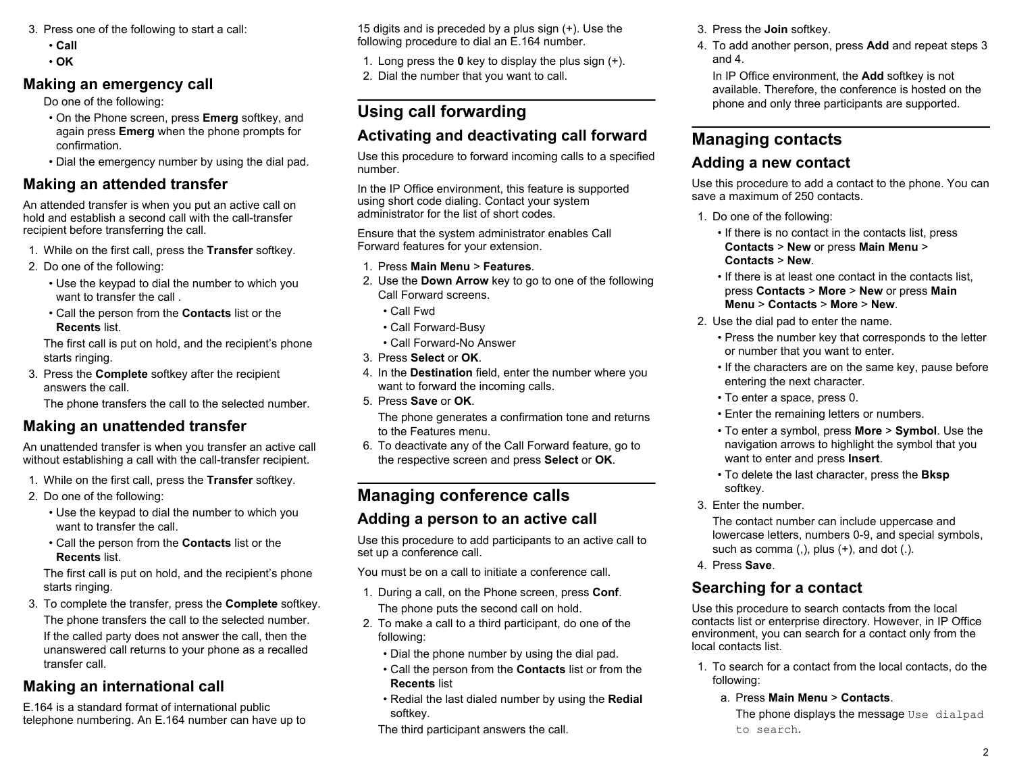- 3. Press one of the following to start a call:
	- **Call**
	- **OK**

## **Making an emergency call**

Do one of the following:

- On the Phone screen, press **Emerg** softkey, and again press **Emerg** when the phone prompts for confirmation.
- Dial the emergency number by using the dial pad.

## **Making an attended transfer**

An attended transfer is when you put an active call on hold and establish a second call with the call-transfer recipient before transferring the call.

- 1. While on the first call, press the **Transfer** softkey.
- 2. Do one of the following:
	- Use the keypad to dial the number to which you want to transfer the call .
	- Call the person from the **Contacts** list or the **Recents** list.

The first call is put on hold, and the recipient's phone starts ringing.

3. Press the **Complete** softkey after the recipient answers the call.

The phone transfers the call to the selected number.

## **Making an unattended transfer**

An unattended transfer is when you transfer an active call without establishing a call with the call-transfer recipient.

- 1. While on the first call, press the **Transfer** softkey.
- 2. Do one of the following:
	- Use the keypad to dial the number to which you want to transfer the call.
	- Call the person from the **Contacts** list or the **Recents** list.

The first call is put on hold, and the recipient's phone starts ringing.

3. To complete the transfer, press the **Complete** softkey. The phone transfers the call to the selected number. If the called party does not answer the call, then the unanswered call returns to your phone as a recalled transfer call.

# **Making an international call**

E.164 is a standard format of international public telephone numbering. An E.164 number can have up to 15 digits and is preceded by a plus sign (+). Use the following procedure to dial an E.164 number.

- 1. Long press the **0** key to display the plus sign (+).
- 2. Dial the number that you want to call.

# **Using call forwarding**

# **Activating and deactivating call forward**

Use this procedure to forward incoming calls to a specified number.

In the IP Office environment, this feature is supported using short code dialing. Contact your system administrator for the list of short codes.

Ensure that the system administrator enables Call Forward features for your extension.

- 1. Press **Main Menu** > **Features**.
- 2. Use the **Down Arrow** key to go to one of the following Call Forward screens.
	- Call Fwd
	- Call Forward-Busy
	- Call Forward-No Answer
- 3. Press **Select** or **OK**.
- 4. In the **Destination** field, enter the number where you want to forward the incoming calls.
- 5. Press **Save** or **OK**.

The phone generates a confirmation tone and returns to the Features menu.

6. To deactivate any of the Call Forward feature, go to the respective screen and press **Select** or **OK**.

# **Managing conference calls**

#### **Adding a person to an active call**

Use this procedure to add participants to an active call to set up a conference call.

You must be on a call to initiate a conference call.

- 1. During a call, on the Phone screen, press **Conf**. The phone puts the second call on hold.
- 2. To make a call to a third participant, do one of the following:
	- Dial the phone number by using the dial pad.
	- Call the person from the **Contacts** list or from the **Recents** list
	- Redial the last dialed number by using the **Redial** softkey.
	- The third participant answers the call.

3. Press the **Join** softkey.

4. To add another person, press **Add** and repeat steps 3 and 4.

In IP Office environment, the **Add** softkey is not available. Therefore, the conference is hosted on the phone and only three participants are supported.

# **Managing contacts**

## **Adding a new contact**

Use this procedure to add a contact to the phone. You can save a maximum of 250 contacts.

- 1. Do one of the following:
	- If there is no contact in the contacts list, press **Contacts** > **New** or press **Main Menu** > **Contacts** > **New**.
	- If there is at least one contact in the contacts list, press **Contacts** > **More** > **New** or press **Main Menu** > **Contacts** > **More** > **New**.
- 2. Use the dial pad to enter the name.
	- Press the number key that corresponds to the letter or number that you want to enter.
	- If the characters are on the same key, pause before entering the next character.
	- To enter a space, press 0.
	- Enter the remaining letters or numbers.
	- To enter a symbol, press **More** > **Symbol**. Use the navigation arrows to highlight the symbol that you want to enter and press **Insert**.
	- To delete the last character, press the **Bksp** softkey.
- 3. Enter the number.

The contact number can include uppercase and lowercase letters, numbers 0-9, and special symbols, such as comma  $($ , $)$ , plus  $($ + $)$ , and dot  $($ . $)$ .

4. Press **Save**.

# **Searching for a contact**

Use this procedure to search contacts from the local contacts list or enterprise directory. However, in IP Office environment, you can search for a contact only from the local contacts list.

- 1. To search for a contact from the local contacts, do the following:
	- a. Press **Main Menu** > **Contacts**.

The phone displays the message Use dialpad to search.